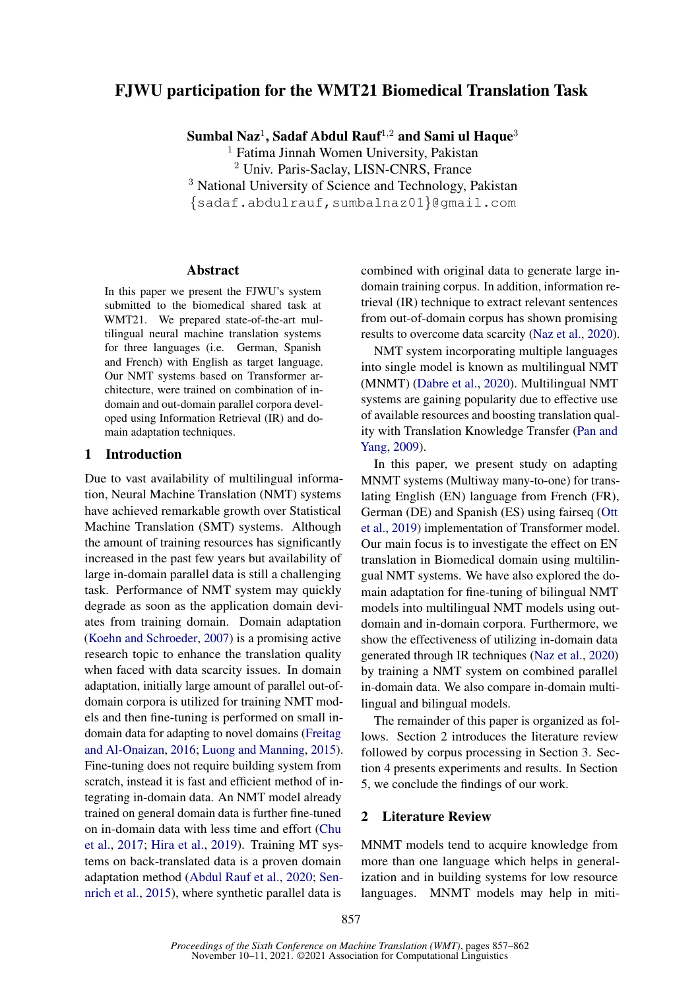# FJWU participation for the WMT21 Biomedical Translation Task

Sumbal Naz $^1$ , Sadaf Abdul Rauf $^{1,2}$  and Sami ul Haque $^3$ 

<sup>1</sup> Fatima Jinnah Women University, Pakistan

<sup>2</sup> Univ. Paris-Saclay, LISN-CNRS, France

<sup>3</sup> National University of Science and Technology, Pakistan

{sadaf.abdulrauf,sumbalnaz01}@gmail.com

#### Abstract

In this paper we present the FJWU's system submitted to the biomedical shared task at WMT21. We prepared state-of-the-art multilingual neural machine translation systems for three languages (i.e. German, Spanish and French) with English as target language. Our NMT systems based on Transformer architecture, were trained on combination of indomain and out-domain parallel corpora developed using Information Retrieval (IR) and domain adaptation techniques.

#### 1 Introduction

Due to vast availability of multilingual information, Neural Machine Translation (NMT) systems have achieved remarkable growth over Statistical Machine Translation (SMT) systems. Although the amount of training resources has significantly increased in the past few years but availability of large in-domain parallel data is still a challenging task. Performance of NMT system may quickly degrade as soon as the application domain deviates from training domain. Domain adaptation [\(Koehn and Schroeder,](#page-4-0) [2007\)](#page-4-0) is a promising active research topic to enhance the translation quality when faced with data scarcity issues. In domain adaptation, initially large amount of parallel out-ofdomain corpora is utilized for training NMT models and then fine-tuning is performed on small indomain data for adapting to novel domains [\(Freitag](#page-4-1) [and Al-Onaizan,](#page-4-1) [2016;](#page-4-1) [Luong and Manning,](#page-4-2) [2015\)](#page-4-2). Fine-tuning does not require building system from scratch, instead it is fast and efficient method of integrating in-domain data. An NMT model already trained on general domain data is further fine-tuned on in-domain data with less time and effort [\(Chu](#page-4-3) [et al.,](#page-4-3) [2017;](#page-4-3) [Hira et al.,](#page-4-4) [2019\)](#page-4-4). Training MT systems on back-translated data is a proven domain adaptation method [\(Abdul Rauf et al.,](#page-3-0) [2020;](#page-3-0) [Sen](#page-4-5)[nrich et al.,](#page-4-5) [2015\)](#page-4-5), where synthetic parallel data is

combined with original data to generate large indomain training corpus. In addition, information retrieval (IR) technique to extract relevant sentences from out-of-domain corpus has shown promising results to overcome data scarcity [\(Naz et al.,](#page-4-6) [2020\)](#page-4-6).

NMT system incorporating multiple languages into single model is known as multilingual NMT (MNMT) [\(Dabre et al.,](#page-4-7) [2020\)](#page-4-7). Multilingual NMT systems are gaining popularity due to effective use of available resources and boosting translation quality with Translation Knowledge Transfer [\(Pan and](#page-4-8) [Yang,](#page-4-8) [2009\)](#page-4-8).

In this paper, we present study on adapting MNMT systems (Multiway many-to-one) for translating English (EN) language from French (FR), German (DE) and Spanish (ES) using fairseq [\(Ott](#page-4-9) [et al.,](#page-4-9) [2019\)](#page-4-9) implementation of Transformer model. Our main focus is to investigate the effect on EN translation in Biomedical domain using multilingual NMT systems. We have also explored the domain adaptation for fine-tuning of bilingual NMT models into multilingual NMT models using outdomain and in-domain corpora. Furthermore, we show the effectiveness of utilizing in-domain data generated through IR techniques [\(Naz et al.,](#page-4-6) [2020\)](#page-4-6) by training a NMT system on combined parallel in-domain data. We also compare in-domain multilingual and bilingual models.

The remainder of this paper is organized as follows. Section 2 introduces the literature review followed by corpus processing in Section 3. Section 4 presents experiments and results. In Section 5, we conclude the findings of our work.

#### 2 Literature Review

MNMT models tend to acquire knowledge from more than one language which helps in generalization and in building systems for low resource languages. MNMT models may help in miti-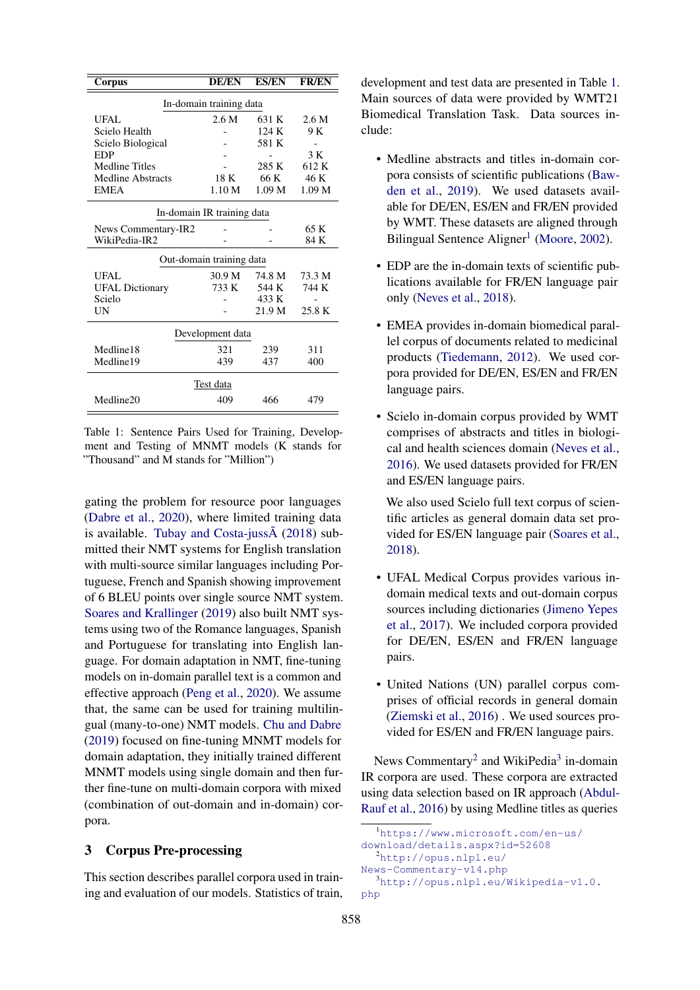<span id="page-1-0"></span>

| In-domain training data<br>2.6 M<br>UFAL<br>631 K<br>2.6 M<br>Scielo Health<br>124K<br>9 K<br>581 K<br>Scielo Biological<br>3 K<br>EDP<br><b>Medline Titles</b><br>612 K<br>285 K<br>46 K<br>66 K<br>Medline Abstracts<br>18 K<br><b>EMEA</b><br>1.10 M<br>1.09 <sub>M</sub><br>1.09 <sub>M</sub><br>In-domain IR training data<br>65 K<br>News Commentary-IR2<br>WikiPedia-IR2<br>84 K<br>Out-domain training data<br>30.9 M<br>UFAL<br>74.8 M<br>73.3 M<br>744 K<br>733 K<br>544 K<br><b>UFAL Dictionary</b><br>Scielo<br>433 K<br>UN<br>21.9 M<br>25.8 K<br>Development data<br>Medline18<br>321<br>311<br>239<br>Medline19<br>437<br>439<br>400<br>Test data<br>Medline20<br>466<br>409<br>479 | Corpus | <b>DE/EN</b> | <b>ES/EN</b> | <b>FR/EN</b> |  |  |  |  |  |
|----------------------------------------------------------------------------------------------------------------------------------------------------------------------------------------------------------------------------------------------------------------------------------------------------------------------------------------------------------------------------------------------------------------------------------------------------------------------------------------------------------------------------------------------------------------------------------------------------------------------------------------------------------------------------------------------------|--------|--------------|--------------|--------------|--|--|--|--|--|
|                                                                                                                                                                                                                                                                                                                                                                                                                                                                                                                                                                                                                                                                                                    |        |              |              |              |  |  |  |  |  |
|                                                                                                                                                                                                                                                                                                                                                                                                                                                                                                                                                                                                                                                                                                    |        |              |              |              |  |  |  |  |  |
|                                                                                                                                                                                                                                                                                                                                                                                                                                                                                                                                                                                                                                                                                                    |        |              |              |              |  |  |  |  |  |
|                                                                                                                                                                                                                                                                                                                                                                                                                                                                                                                                                                                                                                                                                                    |        |              |              |              |  |  |  |  |  |
|                                                                                                                                                                                                                                                                                                                                                                                                                                                                                                                                                                                                                                                                                                    |        |              |              |              |  |  |  |  |  |
|                                                                                                                                                                                                                                                                                                                                                                                                                                                                                                                                                                                                                                                                                                    |        |              |              |              |  |  |  |  |  |
|                                                                                                                                                                                                                                                                                                                                                                                                                                                                                                                                                                                                                                                                                                    |        |              |              |              |  |  |  |  |  |
|                                                                                                                                                                                                                                                                                                                                                                                                                                                                                                                                                                                                                                                                                                    |        |              |              |              |  |  |  |  |  |
|                                                                                                                                                                                                                                                                                                                                                                                                                                                                                                                                                                                                                                                                                                    |        |              |              |              |  |  |  |  |  |
|                                                                                                                                                                                                                                                                                                                                                                                                                                                                                                                                                                                                                                                                                                    |        |              |              |              |  |  |  |  |  |
|                                                                                                                                                                                                                                                                                                                                                                                                                                                                                                                                                                                                                                                                                                    |        |              |              |              |  |  |  |  |  |
|                                                                                                                                                                                                                                                                                                                                                                                                                                                                                                                                                                                                                                                                                                    |        |              |              |              |  |  |  |  |  |
|                                                                                                                                                                                                                                                                                                                                                                                                                                                                                                                                                                                                                                                                                                    |        |              |              |              |  |  |  |  |  |
|                                                                                                                                                                                                                                                                                                                                                                                                                                                                                                                                                                                                                                                                                                    |        |              |              |              |  |  |  |  |  |
|                                                                                                                                                                                                                                                                                                                                                                                                                                                                                                                                                                                                                                                                                                    |        |              |              |              |  |  |  |  |  |
|                                                                                                                                                                                                                                                                                                                                                                                                                                                                                                                                                                                                                                                                                                    |        |              |              |              |  |  |  |  |  |
|                                                                                                                                                                                                                                                                                                                                                                                                                                                                                                                                                                                                                                                                                                    |        |              |              |              |  |  |  |  |  |
|                                                                                                                                                                                                                                                                                                                                                                                                                                                                                                                                                                                                                                                                                                    |        |              |              |              |  |  |  |  |  |
|                                                                                                                                                                                                                                                                                                                                                                                                                                                                                                                                                                                                                                                                                                    |        |              |              |              |  |  |  |  |  |
|                                                                                                                                                                                                                                                                                                                                                                                                                                                                                                                                                                                                                                                                                                    |        |              |              |              |  |  |  |  |  |
|                                                                                                                                                                                                                                                                                                                                                                                                                                                                                                                                                                                                                                                                                                    |        |              |              |              |  |  |  |  |  |

Table 1: Sentence Pairs Used for Training, Development and Testing of MNMT models (K stands for "Thousand" and M stands for "Million")

gating the problem for resource poor languages [\(Dabre et al.,](#page-4-7) [2020\)](#page-4-7), where limited training data is available. Tubay and Costa-juss $\tilde{A}$  [\(2018\)](#page-5-0) submitted their NMT systems for English translation with multi-source similar languages including Portuguese, French and Spanish showing improvement of 6 BLEU points over single source NMT system. [Soares and Krallinger](#page-4-10) [\(2019\)](#page-4-10) also built NMT systems using two of the Romance languages, Spanish and Portuguese for translating into English language. For domain adaptation in NMT, fine-tuning models on in-domain parallel text is a common and effective approach [\(Peng et al.,](#page-4-11) [2020\)](#page-4-11). We assume that, the same can be used for training multilingual (many-to-one) NMT models. [Chu and Dabre](#page-4-12) [\(2019\)](#page-4-12) focused on fine-tuning MNMT models for domain adaptation, they initially trained different MNMT models using single domain and then further fine-tune on multi-domain corpora with mixed (combination of out-domain and in-domain) corpora.

#### 3 Corpus Pre-processing

This section describes parallel corpora used in training and evaluation of our models. Statistics of train,

development and test data are presented in Table [1.](#page-1-0) Main sources of data were provided by WMT21 Biomedical Translation Task. Data sources include:

- Medline abstracts and titles in-domain corpora consists of scientific publications [\(Baw](#page-3-1)[den et al.,](#page-3-1) [2019\)](#page-3-1). We used datasets available for DE/EN, ES/EN and FR/EN provided by WMT. These datasets are aligned through Bilingual Sentence Aligner<sup>[1](#page-1-1)</sup> [\(Moore,](#page-4-13) [2002\)](#page-4-13).
- EDP are the in-domain texts of scientific publications available for FR/EN language pair only [\(Neves et al.,](#page-4-14) [2018\)](#page-4-14).
- EMEA provides in-domain biomedical parallel corpus of documents related to medicinal products [\(Tiedemann,](#page-5-1) [2012\)](#page-5-1). We used corpora provided for DE/EN, ES/EN and FR/EN language pairs.
- Scielo in-domain corpus provided by WMT comprises of abstracts and titles in biological and health sciences domain [\(Neves et al.,](#page-4-15) [2016\)](#page-4-15). We used datasets provided for FR/EN and ES/EN language pairs.

We also used Scielo full text corpus of scientific articles as general domain data set provided for ES/EN language pair [\(Soares et al.,](#page-4-16) [2018\)](#page-4-16).

- UFAL Medical Corpus provides various indomain medical texts and out-domain corpus sources including dictionaries [\(Jimeno Yepes](#page-4-17) [et al.,](#page-4-17) [2017\)](#page-4-17). We included corpora provided for DE/EN, ES/EN and FR/EN language pairs.
- United Nations (UN) parallel corpus comprises of official records in general domain [\(Ziemski et al.,](#page-5-2) [2016\)](#page-5-2) . We used sources provided for ES/EN and FR/EN language pairs.

News Commentary<sup>[2](#page-1-2)</sup> and WikiPedia<sup>[3](#page-1-3)</sup> in-domain IR corpora are used. These corpora are extracted using data selection based on IR approach [\(Abdul-](#page-3-2)[Rauf et al.,](#page-3-2) [2016\)](#page-3-2) by using Medline titles as queries

```
1https://www.microsoft.com/en-us/
download/details.aspx?id=52608
  2http://opus.nlpl.eu/
News-Commentary-v14.php
  3http://opus.nlpl.eu/Wikipedia-v1.0.
php
```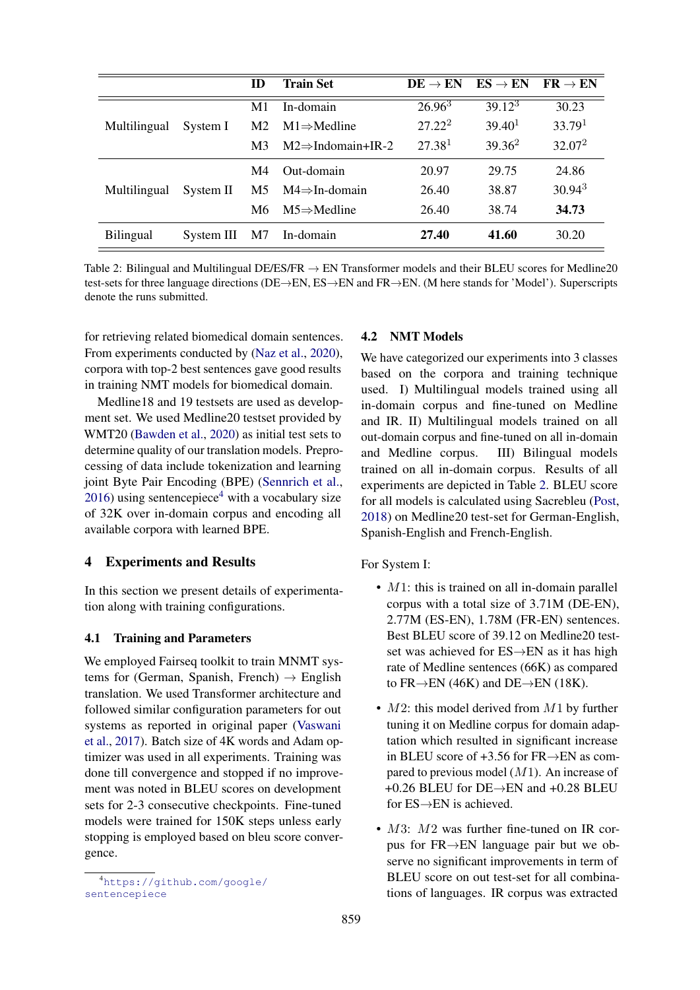<span id="page-2-1"></span>

|                  |            | ID             | <b>Train Set</b>               | $DE \rightarrow EN$ | $ES \rightarrow EN$ | $FR \rightarrow EN$ |
|------------------|------------|----------------|--------------------------------|---------------------|---------------------|---------------------|
| Multilingual     |            | M <sub>1</sub> | In-domain                      | $26.96^3$           | $39.12^{3}$         | 30.23               |
|                  | System I   | M <sub>2</sub> | $M1 \Rightarrow$ Medline       | $27.22^2$           | 39.40 <sup>1</sup>  | 33.79 <sup>1</sup>  |
|                  |            | M <sub>3</sub> | $M2 \Rightarrow$ Indomain+IR-2 | 27.38 <sup>1</sup>  | $39.36^2$           | 32.07 <sup>2</sup>  |
| Multilingual     |            | M4             | Out-domain                     | 20.97               | 29.75               | 24.86               |
|                  | System II  | M5.            | $M4 \Rightarrow In-domain$     | 26.40               | 38.87               | 30.94 <sup>3</sup>  |
|                  |            | M6             | $M5 \Rightarrow$ Medline       | 26.40               | 38.74               | 34.73               |
| <b>Bilingual</b> | System III | M7             | In-domain                      | 27.40               | 41.60               | 30.20               |

Table 2: Bilingual and Multilingual DE/ES/FR  $\rightarrow$  EN Transformer models and their BLEU scores for Medline20 test-sets for three language directions (DE→EN, ES→EN and FR→EN. (M here stands for 'Model'). Superscripts denote the runs submitted.

for retrieving related biomedical domain sentences. From experiments conducted by [\(Naz et al.,](#page-4-6) [2020\)](#page-4-6), corpora with top-2 best sentences gave good results in training NMT models for biomedical domain.

Medline18 and 19 testsets are used as development set. We used Medline20 testset provided by WMT20 [\(Bawden et al.,](#page-3-3) [2020\)](#page-3-3) as initial test sets to determine quality of our translation models. Preprocessing of data include tokenization and learning joint Byte Pair Encoding (BPE) [\(Sennrich et al.,](#page-4-18)  $2016$ ) using sentencepiece<sup>[4](#page-2-0)</sup> with a vocabulary size of 32K over in-domain corpus and encoding all available corpora with learned BPE.

#### 4 Experiments and Results

In this section we present details of experimentation along with training configurations.

#### 4.1 Training and Parameters

We employed Fairseq toolkit to train MNMT systems for (German, Spanish, French)  $\rightarrow$  English translation. We used Transformer architecture and followed similar configuration parameters for out systems as reported in original paper [\(Vaswani](#page-5-3) [et al.,](#page-5-3) [2017\)](#page-5-3). Batch size of 4K words and Adam optimizer was used in all experiments. Training was done till convergence and stopped if no improvement was noted in BLEU scores on development sets for 2-3 consecutive checkpoints. Fine-tuned models were trained for 150K steps unless early stopping is employed based on bleu score convergence.

# 4.2 NMT Models

We have categorized our experiments into 3 classes based on the corpora and training technique used. I) Multilingual models trained using all in-domain corpus and fine-tuned on Medline and IR. II) Multilingual models trained on all out-domain corpus and fine-tuned on all in-domain and Medline corpus. III) Bilingual models trained on all in-domain corpus. Results of all experiments are depicted in Table [2.](#page-2-1) BLEU score for all models is calculated using Sacrebleu [\(Post,](#page-4-19) [2018\)](#page-4-19) on Medline20 test-set for German-English, Spanish-English and French-English.

For System I:

- $M1$ : this is trained on all in-domain parallel corpus with a total size of 3.71M (DE-EN), 2.77M (ES-EN), 1.78M (FR-EN) sentences. Best BLEU score of 39.12 on Medline20 testset was achieved for ES→EN as it has high rate of Medline sentences (66K) as compared to FR $\rightarrow$ EN (46K) and DE $\rightarrow$ EN (18K).
- $M2$ : this model derived from  $M1$  by further tuning it on Medline corpus for domain adaptation which resulted in significant increase in BLEU score of +3.56 for FR→EN as compared to previous model  $(M1)$ . An increase of  $+0.26$  BLEU for DE $\rightarrow$ EN and  $+0.28$  BLEU for ES→EN is achieved.
- M3: M2 was further fine-tuned on IR corpus for FR→EN language pair but we observe no significant improvements in term of BLEU score on out test-set for all combinations of languages. IR corpus was extracted

<span id="page-2-0"></span><sup>4</sup>[https://github.com/google/](https://github.com/google/sentencepiece) [sentencepiece](https://github.com/google/sentencepiece)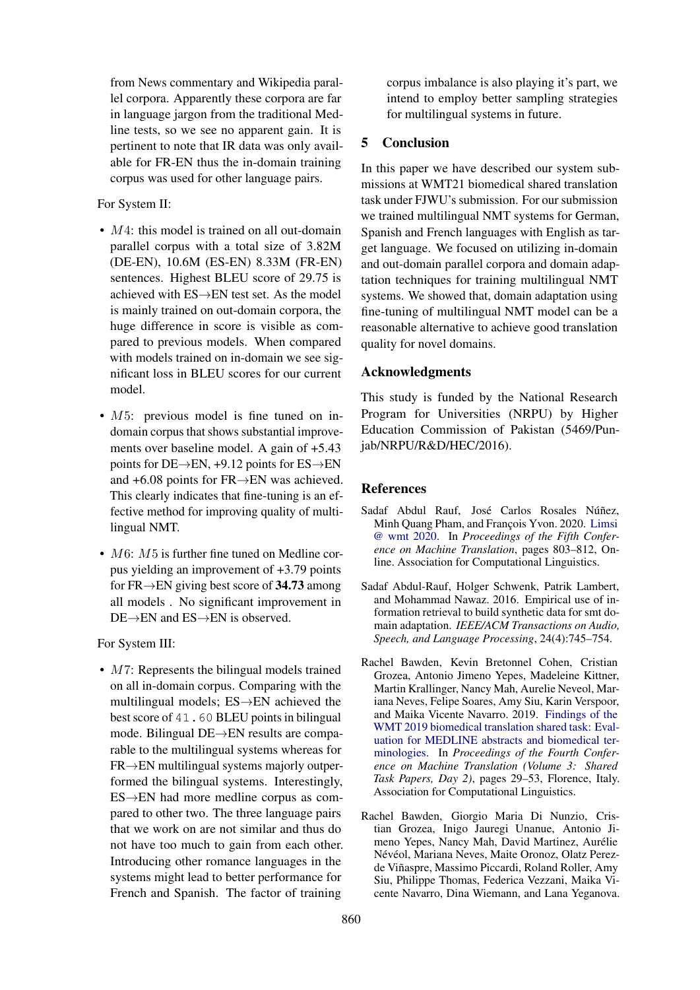from News commentary and Wikipedia parallel corpora. Apparently these corpora are far in language jargon from the traditional Medline tests, so we see no apparent gain. It is pertinent to note that IR data was only available for FR-EN thus the in-domain training corpus was used for other language pairs.

For System II:

- M4: this model is trained on all out-domain parallel corpus with a total size of 3.82M (DE-EN), 10.6M (ES-EN) 8.33M (FR-EN) sentences. Highest BLEU score of 29.75 is achieved with ES→EN test set. As the model is mainly trained on out-domain corpora, the huge difference in score is visible as compared to previous models. When compared with models trained on in-domain we see significant loss in BLEU scores for our current model.
- M5: previous model is fine tuned on indomain corpus that shows substantial improvements over baseline model. A gain of +5.43 points for DE $\rightarrow$ EN, +9.12 points for ES $\rightarrow$ EN and +6.08 points for FR→EN was achieved. This clearly indicates that fine-tuning is an effective method for improving quality of multilingual NMT.
- $M6$ :  $M5$  is further fine tuned on Medline corpus yielding an improvement of +3.79 points for FR $\rightarrow$ EN giving best score of 34.73 among all models . No significant improvement in DE→EN and ES→EN is observed.

For System III:

• M7: Represents the bilingual models trained on all in-domain corpus. Comparing with the multilingual models; ES→EN achieved the best score of 41.60 BLEU points in bilingual mode. Bilingual DE→EN results are comparable to the multilingual systems whereas for  $FR \rightarrow EN$  multilingual systems majorly outperformed the bilingual systems. Interestingly, ES→EN had more medline corpus as compared to other two. The three language pairs that we work on are not similar and thus do not have too much to gain from each other. Introducing other romance languages in the systems might lead to better performance for French and Spanish. The factor of training

corpus imbalance is also playing it's part, we intend to employ better sampling strategies for multilingual systems in future.

### 5 Conclusion

In this paper we have described our system submissions at WMT21 biomedical shared translation task under FJWU's submission. For our submission we trained multilingual NMT systems for German, Spanish and French languages with English as target language. We focused on utilizing in-domain and out-domain parallel corpora and domain adaptation techniques for training multilingual NMT systems. We showed that, domain adaptation using fine-tuning of multilingual NMT model can be a reasonable alternative to achieve good translation quality for novel domains.

# Acknowledgments

This study is funded by the National Research Program for Universities (NRPU) by Higher Education Commission of Pakistan (5469/Punjab/NRPU/R&D/HEC/2016).

# References

- <span id="page-3-0"></span>Sadaf Abdul Rauf, José Carlos Rosales Núñez, Minh Quang Pham, and François Yvon. 2020. [Limsi](https://www.aclweb.org/anthology/2020.wmt-1.86) [@ wmt 2020.](https://www.aclweb.org/anthology/2020.wmt-1.86) In *Proceedings of the Fifth Conference on Machine Translation*, pages 803–812, Online. Association for Computational Linguistics.
- <span id="page-3-2"></span>Sadaf Abdul-Rauf, Holger Schwenk, Patrik Lambert, and Mohammad Nawaz. 2016. Empirical use of information retrieval to build synthetic data for smt domain adaptation. *IEEE/ACM Transactions on Audio, Speech, and Language Processing*, 24(4):745–754.
- <span id="page-3-1"></span>Rachel Bawden, Kevin Bretonnel Cohen, Cristian Grozea, Antonio Jimeno Yepes, Madeleine Kittner, Martin Krallinger, Nancy Mah, Aurelie Neveol, Mariana Neves, Felipe Soares, Amy Siu, Karin Verspoor, and Maika Vicente Navarro. 2019. [Findings of the](https://doi.org/10.18653/v1/W19-5403) [WMT 2019 biomedical translation shared task: Eval](https://doi.org/10.18653/v1/W19-5403)[uation for MEDLINE abstracts and biomedical ter](https://doi.org/10.18653/v1/W19-5403)[minologies.](https://doi.org/10.18653/v1/W19-5403) In *Proceedings of the Fourth Conference on Machine Translation (Volume 3: Shared Task Papers, Day 2)*, pages 29–53, Florence, Italy. Association for Computational Linguistics.
- <span id="page-3-3"></span>Rachel Bawden, Giorgio Maria Di Nunzio, Cristian Grozea, Inigo Jauregi Unanue, Antonio Jimeno Yepes, Nancy Mah, David Martinez, Aurelie ´ Névéol, Mariana Neves, Maite Oronoz, Olatz Perezde Viñaspre, Massimo Piccardi, Roland Roller, Amy Siu, Philippe Thomas, Federica Vezzani, Maika Vicente Navarro, Dina Wiemann, and Lana Yeganova.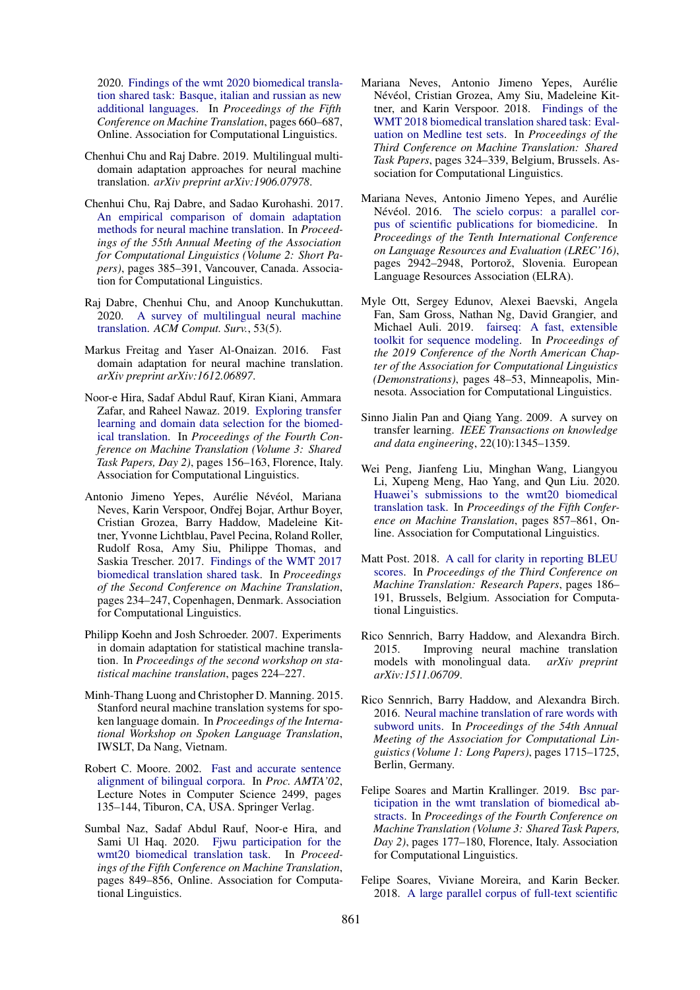2020. [Findings of the wmt 2020 biomedical transla](https://www.aclweb.org/anthology/2020.wmt-1.76)[tion shared task: Basque, italian and russian as new](https://www.aclweb.org/anthology/2020.wmt-1.76) [additional languages.](https://www.aclweb.org/anthology/2020.wmt-1.76) In *Proceedings of the Fifth Conference on Machine Translation*, pages 660–687, Online. Association for Computational Linguistics.

- <span id="page-4-12"></span>Chenhui Chu and Raj Dabre. 2019. Multilingual multidomain adaptation approaches for neural machine translation. *arXiv preprint arXiv:1906.07978*.
- <span id="page-4-3"></span>Chenhui Chu, Raj Dabre, and Sadao Kurohashi. 2017. [An empirical comparison of domain adaptation](https://doi.org/10.18653/v1/P17-2061) [methods for neural machine translation.](https://doi.org/10.18653/v1/P17-2061) In *Proceedings of the 55th Annual Meeting of the Association for Computational Linguistics (Volume 2: Short Papers)*, pages 385–391, Vancouver, Canada. Association for Computational Linguistics.
- <span id="page-4-7"></span>Raj Dabre, Chenhui Chu, and Anoop Kunchukuttan. 2020. [A survey of multilingual neural machine](https://doi.org/10.1145/3406095) [translation.](https://doi.org/10.1145/3406095) *ACM Comput. Surv.*, 53(5).
- <span id="page-4-1"></span>Markus Freitag and Yaser Al-Onaizan. 2016. Fast domain adaptation for neural machine translation. *arXiv preprint arXiv:1612.06897*.
- <span id="page-4-4"></span>Noor-e Hira, Sadaf Abdul Rauf, Kiran Kiani, Ammara Zafar, and Raheel Nawaz. 2019. [Exploring transfer](https://doi.org/10.18653/v1/W19-5419) [learning and domain data selection for the biomed](https://doi.org/10.18653/v1/W19-5419)[ical translation.](https://doi.org/10.18653/v1/W19-5419) In *Proceedings of the Fourth Conference on Machine Translation (Volume 3: Shared Task Papers, Day 2)*, pages 156–163, Florence, Italy. Association for Computational Linguistics.
- <span id="page-4-17"></span>Antonio Jimeno Yepes, Aurélie Névéol, Mariana Neves, Karin Verspoor, Ondřej Bojar, Arthur Boyer, Cristian Grozea, Barry Haddow, Madeleine Kittner, Yvonne Lichtblau, Pavel Pecina, Roland Roller, Rudolf Rosa, Amy Siu, Philippe Thomas, and Saskia Trescher. 2017. [Findings of the WMT 2017](https://doi.org/10.18653/v1/W17-4719) [biomedical translation shared task.](https://doi.org/10.18653/v1/W17-4719) In *Proceedings of the Second Conference on Machine Translation*, pages 234–247, Copenhagen, Denmark. Association for Computational Linguistics.
- <span id="page-4-0"></span>Philipp Koehn and Josh Schroeder. 2007. Experiments in domain adaptation for statistical machine translation. In *Proceedings of the second workshop on statistical machine translation*, pages 224–227.
- <span id="page-4-2"></span>Minh-Thang Luong and Christopher D. Manning. 2015. Stanford neural machine translation systems for spoken language domain. In *Proceedings of the International Workshop on Spoken Language Translation*, IWSLT, Da Nang, Vietnam.
- <span id="page-4-13"></span>Robert C. Moore. 2002. [Fast and accurate sentence](https://www.microsoft.com/en-us/research/publication/fast-and-accurate-sentence-alignment-of-bilingual-corpora/) [alignment of bilingual corpora.](https://www.microsoft.com/en-us/research/publication/fast-and-accurate-sentence-alignment-of-bilingual-corpora/) In *Proc. AMTA'02*, Lecture Notes in Computer Science 2499, pages 135–144, Tiburon, CA, USA. Springer Verlag.
- <span id="page-4-6"></span>Sumbal Naz, Sadaf Abdul Rauf, Noor-e Hira, and Sami Ul Haq. 2020. [Fjwu participation for the](https://www.aclweb.org/anthology/2020.wmt-1.92) [wmt20 biomedical translation task.](https://www.aclweb.org/anthology/2020.wmt-1.92) In *Proceedings of the Fifth Conference on Machine Translation*, pages 849–856, Online. Association for Computational Linguistics.
- <span id="page-4-14"></span>Mariana Neves, Antonio Jimeno Yepes, Aurelie ´ Névéol, Cristian Grozea, Amy Siu, Madeleine Kittner, and Karin Verspoor. 2018. [Findings of the](https://doi.org/10.18653/v1/W18-6403) [WMT 2018 biomedical translation shared task: Eval](https://doi.org/10.18653/v1/W18-6403)[uation on Medline test sets.](https://doi.org/10.18653/v1/W18-6403) In *Proceedings of the Third Conference on Machine Translation: Shared Task Papers*, pages 324–339, Belgium, Brussels. Association for Computational Linguistics.
- <span id="page-4-15"></span>Mariana Neves, Antonio Jimeno Yepes, and Aurélie Névéol. 2016. [The scielo corpus: a parallel cor](https://aclanthology.org/L16-1470)[pus of scientific publications for biomedicine.](https://aclanthology.org/L16-1470) In *Proceedings of the Tenth International Conference on Language Resources and Evaluation (LREC'16)*, pages 2942–2948, Portorož, Slovenia. European Language Resources Association (ELRA).
- <span id="page-4-9"></span>Myle Ott, Sergey Edunov, Alexei Baevski, Angela Fan, Sam Gross, Nathan Ng, David Grangier, and Michael Auli. 2019. [fairseq: A fast, extensible](https://doi.org/10.18653/v1/N19-4009) [toolkit for sequence modeling.](https://doi.org/10.18653/v1/N19-4009) In *Proceedings of the 2019 Conference of the North American Chapter of the Association for Computational Linguistics (Demonstrations)*, pages 48–53, Minneapolis, Minnesota. Association for Computational Linguistics.
- <span id="page-4-8"></span>Sinno Jialin Pan and Qiang Yang. 2009. A survey on transfer learning. *IEEE Transactions on knowledge and data engineering*, 22(10):1345–1359.
- <span id="page-4-11"></span>Wei Peng, Jianfeng Liu, Minghan Wang, Liangyou Li, Xupeng Meng, Hao Yang, and Qun Liu. 2020. [Huawei's submissions to the wmt20 biomedical](https://www.aclweb.org/anthology/2020.wmt-1.93) [translation task.](https://www.aclweb.org/anthology/2020.wmt-1.93) In *Proceedings of the Fifth Conference on Machine Translation*, pages 857–861, Online. Association for Computational Linguistics.
- <span id="page-4-19"></span>Matt Post. 2018. [A call for clarity in reporting BLEU](https://doi.org/10.18653/v1/W18-6319) [scores.](https://doi.org/10.18653/v1/W18-6319) In *Proceedings of the Third Conference on Machine Translation: Research Papers*, pages 186– 191, Brussels, Belgium. Association for Computational Linguistics.
- <span id="page-4-5"></span>Rico Sennrich, Barry Haddow, and Alexandra Birch. 2015. Improving neural machine translation models with monolingual data. *arXiv preprint arXiv:1511.06709*.
- <span id="page-4-18"></span>Rico Sennrich, Barry Haddow, and Alexandra Birch. 2016. [Neural machine translation of rare words with](https://doi.org/10.18653/v1/P16-1162) [subword units.](https://doi.org/10.18653/v1/P16-1162) In *Proceedings of the 54th Annual Meeting of the Association for Computational Linguistics (Volume 1: Long Papers)*, pages 1715–1725, Berlin, Germany.
- <span id="page-4-10"></span>Felipe Soares and Martin Krallinger. 2019. [Bsc par](http://www.aclweb.org/anthology/W19-5422)[ticipation in the wmt translation of biomedical ab](http://www.aclweb.org/anthology/W19-5422)[stracts.](http://www.aclweb.org/anthology/W19-5422) In *Proceedings of the Fourth Conference on Machine Translation (Volume 3: Shared Task Papers, Day 2)*, pages 177–180, Florence, Italy. Association for Computational Linguistics.
- <span id="page-4-16"></span>Felipe Soares, Viviane Moreira, and Karin Becker. 2018. [A large parallel corpus of full-text scientific](http://aclweb.org/anthology/L18-1546)